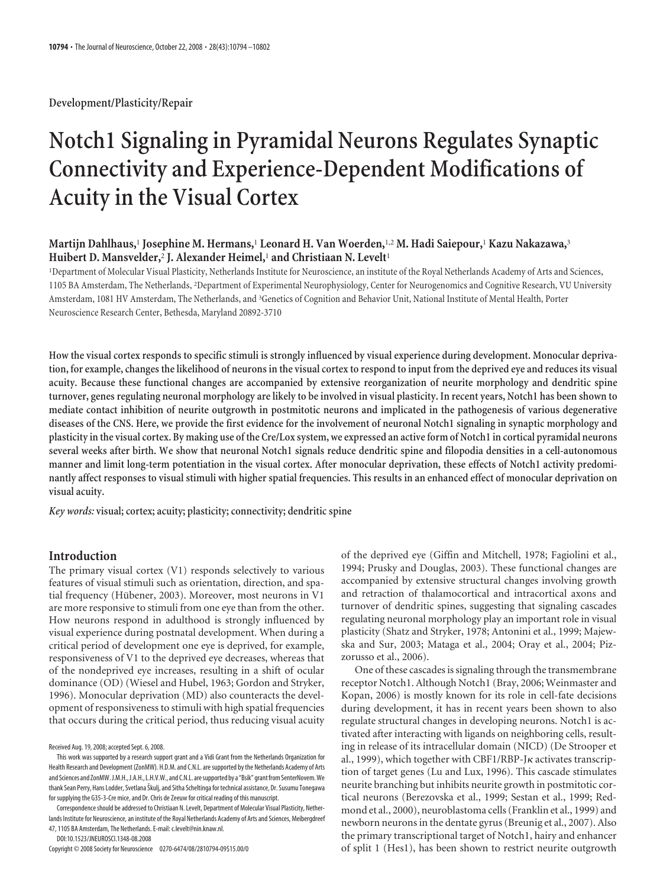**Development/Plasticity/Repair**

# **Notch1 Signaling in Pyramidal Neurons Regulates Synaptic Connectivity and Experience-Dependent Modifications of Acuity in the Visual Cortex**

# **Martijn Dahlhaus,**<sup>1</sup> **Josephine M. Hermans,**<sup>1</sup> **Leonard H. Van Woerden,**1,2 **M. Hadi Saiepour,**<sup>1</sup> **Kazu Nakazawa,**<sup>3</sup> **Huibert D. Mansvelder,**<sup>2</sup> **J. Alexander Heimel,**<sup>1</sup> **and Christiaan N. Levelt**<sup>1</sup>

1 Department of Molecular Visual Plasticity, Netherlands Institute for Neuroscience, an institute of the Royal Netherlands Academy of Arts and Sciences, 1105 BA Amsterdam, The Netherlands, <sup>2</sup> Department of Experimental Neurophysiology, Center for Neurogenomics and Cognitive Research, VU University Amsterdam, 1081 HV Amsterdam, The Netherlands, and <sup>3</sup>Genetics of Cognition and Behavior Unit, National Institute of Mental Health, Porter Neuroscience Research Center, Bethesda, Maryland 20892-3710

**How the visual cortex responds to specific stimuli is strongly influenced by visual experience during development. Monocular deprivation, for example, changes the likelihood of neurons in the visual cortex to respond to input from the deprived eye and reduces its visual acuity. Because these functional changes are accompanied by extensive reorganization of neurite morphology and dendritic spine turnover, genes regulating neuronal morphology are likely to be involved in visual plasticity. In recent years, Notch1 has been shown to mediate contact inhibition of neurite outgrowth in postmitotic neurons and implicated in the pathogenesis of various degenerative diseases of the CNS. Here, we provide the first evidence for the involvement of neuronal Notch1 signaling in synaptic morphology and plasticity in the visual cortex. By making use of the Cre/Lox system, we expressed an active form of Notch1 in cortical pyramidal neurons several weeks after birth. We show that neuronal Notch1 signals reduce dendritic spine and filopodia densities in a cell-autonomous manner and limit long-term potentiation in the visual cortex. After monocular deprivation, these effects of Notch1 activity predominantly affect responses to visual stimuli with higher spatial frequencies. This results in an enhanced effect of monocular deprivation on visual acuity.**

*Key words:* **visual; cortex; acuity; plasticity; connectivity; dendritic spine**

## **Introduction**

The primary visual cortex (V1) responds selectively to various features of visual stimuli such as orientation, direction, and spatial frequency (Hübener, 2003). Moreover, most neurons in V1 are more responsive to stimuli from one eye than from the other. How neurons respond in adulthood is strongly influenced by visual experience during postnatal development. When during a critical period of development one eye is deprived, for example, responsiveness of V1 to the deprived eye decreases, whereas that of the nondeprived eye increases, resulting in a shift of ocular dominance (OD) (Wiesel and Hubel, 1963; Gordon and Stryker, 1996). Monocular deprivation (MD) also counteracts the development of responsiveness to stimuli with high spatial frequencies that occurs during the critical period, thus reducing visual acuity

Correspondence should be addressed to Christiaan N. Levelt, Department of Molecular Visual Plasticity, Netherlands Institute for Neuroscience, an institute of the Royal Netherlands Academy of Arts and Sciences, Meibergdreef 47, 1105 BA Amsterdam, The Netherlands. E-mail: c.levelt@nin.knaw.nl.

DOI:10.1523/JNEUROSCI.1348-08.2008

Copyright © 2008 Society for Neuroscience 0270-6474/08/2810794-09\$15.00/0

of the deprived eye (Giffin and Mitchell, 1978; Fagiolini et al., 1994; Prusky and Douglas, 2003). These functional changes are accompanied by extensive structural changes involving growth and retraction of thalamocortical and intracortical axons and turnover of dendritic spines, suggesting that signaling cascades regulating neuronal morphology play an important role in visual plasticity (Shatz and Stryker, 1978; Antonini et al., 1999; Majewska and Sur, 2003; Mataga et al., 2004; Oray et al., 2004; Pizzorusso et al., 2006).

One of these cascades is signaling through the transmembrane receptor Notch1. Although Notch1 (Bray, 2006; Weinmaster and Kopan, 2006) is mostly known for its role in cell-fate decisions during development, it has in recent years been shown to also regulate structural changes in developing neurons. Notch1 is activated after interacting with ligands on neighboring cells, resulting in release of its intracellular domain (NICD) (De Strooper et al., 1999), which together with CBF1/RBP-J<sub>K</sub> activates transcription of target genes (Lu and Lux, 1996). This cascade stimulates neurite branching but inhibits neurite growth in postmitotic cortical neurons (Berezovska et al., 1999; Sestan et al., 1999; Redmond et al., 2000), neuroblastoma cells (Franklin et al., 1999) and newborn neurons in the dentate gyrus (Breunig et al., 2007). Also the primary transcriptional target of Notch1, hairy and enhancer of split 1 (Hes1), has been shown to restrict neurite outgrowth

Received Aug. 19, 2008; accepted Sept. 6, 2008.

This work was supported by a research support grant and a Vidi Grant from the Netherlands Organization for Health Research and Development (ZonMW). H.D.M. and C.N.L. are supported by the Netherlands Academy of Arts and Sciences and ZonMW. J.M.H., J.A.H., L.H.V.W., and C.N.L. are supported by a "Bsik" grant from SenterNovem. We thank Sean Perry, Hans Lodder, Svetlana Škulj, and Sitha Scheltinga for technical assistance, Dr. Susumu Tonegawa for supplying the G35-3-Cre mice, and Dr. Chris de Zeeuw for critical reading of this manuscript.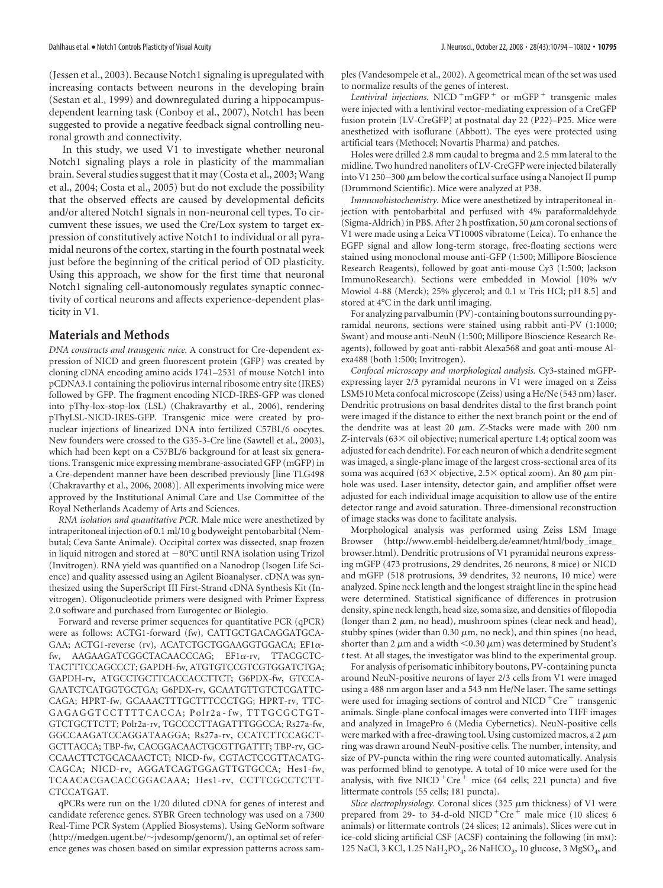(Jessen et al., 2003). Because Notch1 signaling is upregulated with increasing contacts between neurons in the developing brain (Sestan et al., 1999) and downregulated during a hippocampusdependent learning task (Conboy et al., 2007), Notch1 has been suggested to provide a negative feedback signal controlling neuronal growth and connectivity.

In this study, we used V1 to investigate whether neuronal Notch1 signaling plays a role in plasticity of the mammalian brain. Several studies suggest that it may (Costa et al., 2003; Wang et al., 2004; Costa et al., 2005) but do not exclude the possibility that the observed effects are caused by developmental deficits and/or altered Notch1 signals in non-neuronal cell types. To circumvent these issues, we used the Cre/Lox system to target expression of constitutively active Notch1 to individual or all pyramidal neurons of the cortex, starting in the fourth postnatal week just before the beginning of the critical period of OD plasticity. Using this approach, we show for the first time that neuronal Notch1 signaling cell-autonomously regulates synaptic connectivity of cortical neurons and affects experience-dependent plasticity in V1.

## **Materials and Methods**

*DNA constructs and transgenic mice.* A construct for Cre-dependent expression of NICD and green fluorescent protein (GFP) was created by cloning cDNA encoding amino acids 1741–2531 of mouse Notch1 into pCDNA3.1 containing the poliovirus internal ribosome entry site (IRES) followed by GFP. The fragment encoding NICD-IRES-GFP was cloned into pThy-lox-stop-lox (LSL) (Chakravarthy et al., 2006), rendering pThyLSL-NICD-IRES-GFP. Transgenic mice were created by pronuclear injections of linearized DNA into fertilized C57BL/6 oocytes. New founders were crossed to the G35-3-Cre line (Sawtell et al., 2003), which had been kept on a C57BL/6 background for at least six generations. Transgenic mice expressing membrane-associated GFP (mGFP) in a Cre-dependent manner have been described previously [line TLG498 (Chakravarthy et al., 2006, 2008)]. All experiments involving mice were approved by the Institutional Animal Care and Use Committee of the Royal Netherlands Academy of Arts and Sciences.

*RNA isolation and quantitative PCR.* Male mice were anesthetized by intraperitoneal injection of 0.1 ml/10 g bodyweight pentobarbital (Nembutal; Ceva Sante Animale). Occipital cortex was dissected, snap frozen in liquid nitrogen and stored at  $-80^{\circ}$ C until RNA isolation using Trizol (Invitrogen). RNA yield was quantified on a Nanodrop (Isogen Life Science) and quality assessed using an Agilent Bioanalyser. cDNA was synthesized using the SuperScript III First-Strand cDNA Synthesis Kit (Invitrogen). Oligonucleotide primers were designed with Primer Express 2.0 software and purchased from Eurogentec or Biolegio.

Forward and reverse primer sequences for quantitative PCR (qPCR) were as follows: ACTG1-forward (fw), CATTGCTGACAGGATGCA-GAA; ACTG1-reverse (rv), ACATCTGCTGGAAGGTGGACA; ΕF1αfw, AAGAAGATCGGCTACAACCCAG; EF1a-rv, TTACGCTC-TACTTTCCAGCCCT; GAPDH-fw, ATGTGTCCGTCGTGGATCTGA; GAPDH-rv, ATGCCTGCTTCACCACCTTCT; G6PDX-fw, GTCCA-GAATCTCATGGTGCTGA; G6PDX-rv, GCAATGTTGTCTCGATTC-CAGA; HPRT-fw, GCAAACTTTGCTTTCCCTGG; HPRT-rv, TTC-GAGAGGTCCTTTTCACCA; Polr2a-fw, TTTGCGCTGT-GTCTGCTTCTT; Polr2a-rv, TGCCCCTTAGATTTGGCCA; Rs27a-fw, GGCCAAGATCCAGGATAAGGA; Rs27a-rv, CCATCTTCCAGCT-GCTTACCA; TBP-fw, CACGGACAACTGCGTTGATTT; TBP-rv, GC-CCAACTTCTGCACAACTCT; NICD-fw, CGTACTCCGTTACATG-CAGCA; NICD-rv, AGGATCAGTGGAGTTGTGCCA; Hes1-fw, TCAACACGACACCGGACAAA; Hes1-rv, CCTTCGCCTCTT-CTCCATGAT.

qPCRs were run on the 1/20 diluted cDNA for genes of interest and candidate reference genes. SYBR Green technology was used on a 7300 Real-Time PCR System (Applied Biosystems). Using GeNorm software (http://medgen.ugent.be/-jvdesomp/genorm/), an optimal set of reference genes was chosen based on similar expression patterns across samples (Vandesompele et al., 2002). A geometrical mean of the set was used to normalize results of the genes of interest.

*Lentiviral injections.* NICD  $+mGFP + or mGFP + transgenic males$ were injected with a lentiviral vector-mediating expression of a CreGFP fusion protein (LV-CreGFP) at postnatal day 22 (P22)–P25. Mice were anesthetized with isoflurane (Abbott). The eyes were protected using artificial tears (Methocel; Novartis Pharma) and patches.

Holes were drilled 2.8 mm caudal to bregma and 2.5 mm lateral to the midline. Two hundred nanoliters of LV-CreGFP were injected bilaterally into V1 250-300  $\mu$ m below the cortical surface using a Nanoject II pump (Drummond Scientific). Mice were analyzed at P38.

*Immunohistochemistry.* Mice were anesthetized by intraperitoneal injection with pentobarbital and perfused with 4% paraformaldehyde (Sigma-Aldrich) in PBS. After 2 h postfixation, 50  $\mu$ m coronal sections of V1 were made using a Leica VT1000S vibratome (Leica). To enhance the EGFP signal and allow long-term storage, free-floating sections were stained using monoclonal mouse anti-GFP (1:500; Millipore Bioscience Research Reagents), followed by goat anti-mouse Cy3 (1:500; Jackson ImmunoResearch). Sections were embedded in Mowiol [10% w/v Mowiol 4-88 (Merck); 25% glycerol; and 0.1 M Tris HCl; pH 8.5] and stored at 4°C in the dark until imaging.

For analyzing parvalbumin (PV)-containing boutons surrounding pyramidal neurons, sections were stained using rabbit anti-PV (1:1000; Swant) and mouse anti-NeuN (1:500; Millipore Bioscience Research Reagents), followed by goat anti-rabbit Alexa568 and goat anti-mouse Alexa488 (both 1:500; Invitrogen).

*Confocal microscopy and morphological analysis.* Cy3-stained mGFPexpressing layer 2/3 pyramidal neurons in V1 were imaged on a Zeiss LSM510 Meta confocal microscope (Zeiss) using a He/Ne (543 nm) laser. Dendritic protrusions on basal dendrites distal to the first branch point were imaged if the distance to either the next branch point or the end of the dendrite was at least 20  $\mu$ m. *Z*-Stacks were made with 200 nm *Z*-intervals (63× oil objective; numerical aperture 1.4; optical zoom was adjusted for each dendrite). For each neuron of which a dendrite segment was imaged, a single-plane image of the largest cross-sectional area of its soma was acquired (63 $\times$  objective, 2.5 $\times$  optical zoom). An 80  $\mu$ m pinhole was used. Laser intensity, detector gain, and amplifier offset were adjusted for each individual image acquisition to allow use of the entire detector range and avoid saturation. Three-dimensional reconstruction of image stacks was done to facilitate analysis.

Morphological analysis was performed using Zeiss LSM Image Browser (http://www.embl-heidelberg.de/eamnet/html/body\_image\_ browser.html). Dendritic protrusions of V1 pyramidal neurons expressing mGFP (473 protrusions, 29 dendrites, 26 neurons, 8 mice) or NICD and mGFP (518 protrusions, 39 dendrites, 32 neurons, 10 mice) were analyzed. Spine neck length and the longest straight line in the spine head were determined. Statistical significance of differences in protrusion density, spine neck length, head size, soma size, and densities of filopodia (longer than 2  $\mu$ m, no head), mushroom spines (clear neck and head), stubby spines (wider than  $0.30 \mu m$ , no neck), and thin spines (no head, shorter than 2  $\mu$ m and a width <0.30  $\mu$ m) was determined by Student's *t* test. At all stages, the investigator was blind to the experimental group.

For analysis of perisomatic inhibitory boutons, PV-containing puncta around NeuN-positive neurons of layer 2/3 cells from V1 were imaged using a 488 nm argon laser and a 543 nm He/Ne laser. The same settings were used for imaging sections of control and NICD  $+$ Cre  $+$  transgenic animals. Single-plane confocal images were converted into TIFF images and analyzed in ImagePro 6 (Media Cybernetics). NeuN-positive cells were marked with a free-drawing tool. Using customized macros, a 2  $\mu$ m ring was drawn around NeuN-positive cells. The number, intensity, and size of PV-puncta within the ring were counted automatically. Analysis was performed blind to genotype. A total of 10 mice were used for the analysis, with five NICD<sup>+</sup>Cre<sup>+</sup> mice (64 cells; 221 puncta) and five littermate controls (55 cells; 181 puncta).

*Slice electrophysiology*. Coronal slices (325  $\mu$ m thickness) of V1 were prepared from 29- to 34-d-old NICD<sup>+</sup>Cre<sup>+</sup> male mice (10 slices; 6 animals) or littermate controls (24 slices; 12 animals). Slices were cut in ice-cold slicing artificial CSF (ACSF) containing the following (in mM): 125 NaCl, 3 KCl, 1.25 NaH<sub>2</sub>PO<sub>4</sub>, 26 NaHCO<sub>3</sub>, 10 glucose, 3 MgSO<sub>4</sub>, and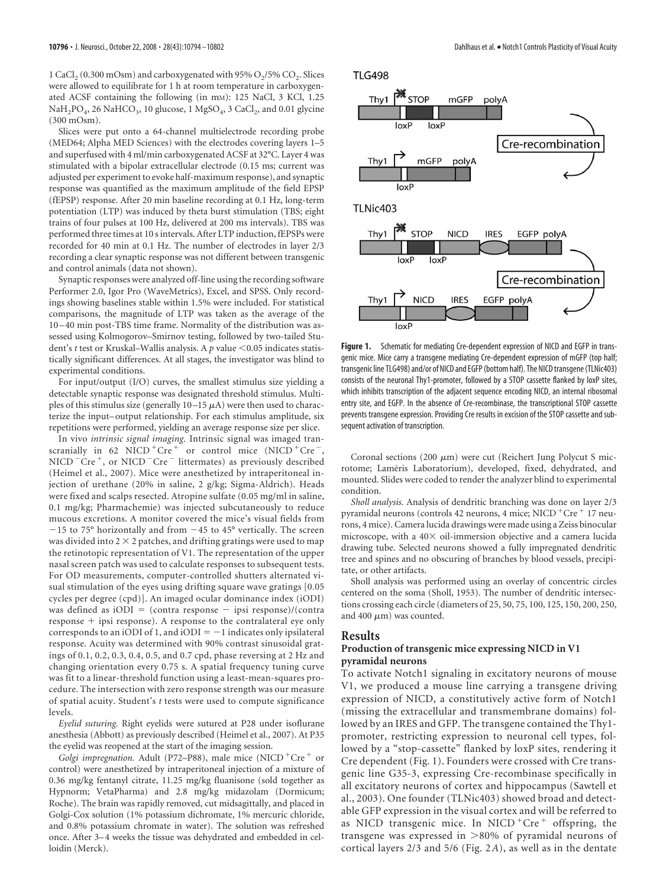1 CaCl<sub>2</sub> (0.300 mOsm) and carboxygenated with 95% O<sub>2</sub>/5% CO<sub>2</sub>. Slices were allowed to equilibrate for 1 h at room temperature in carboxygenated ACSF containing the following (in mM): 125 NaCl, 3 KCl, 1.25  $NAH<sub>2</sub>PO<sub>4</sub>$ , 26 NaHCO<sub>3</sub>, 10 glucose, 1 MgSO<sub>4</sub>, 3 CaCl<sub>2</sub>, and 0.01 glycine (300 mOsm).

Slices were put onto a 64-channel multielectrode recording probe (MED64; Alpha MED Sciences) with the electrodes covering layers 1–5 and superfused with 4 ml/min carboxygenated ACSF at 32°C. Layer 4 was stimulated with a bipolar extracellular electrode (0.15 ms; current was adjusted per experiment to evoke half-maximum response), and synaptic response was quantified as the maximum amplitude of the field EPSP (fEPSP) response. After 20 min baseline recording at 0.1 Hz, long-term potentiation (LTP) was induced by theta burst stimulation (TBS; eight trains of four pulses at 100 Hz, delivered at 200 ms intervals). TBS was performed three times at 10 s intervals. After LTP induction, fEPSPs were recorded for 40 min at 0.1 Hz. The number of electrodes in layer 2/3 recording a clear synaptic response was not different between transgenic and control animals (data not shown).

Synaptic responses were analyzed off-line using the recording software Performer 2.0, Igor Pro (WaveMetrics), Excel, and SPSS. Only recordings showing baselines stable within 1.5% were included. For statistical comparisons, the magnitude of LTP was taken as the average of the 10 – 40 min post-TBS time frame. Normality of the distribution was assessed using Kolmogorov–Smirnov testing, followed by two-tailed Student's *t* test or Kruskal–Wallis analysis. A *p* value <0.05 indicates statistically significant differences. At all stages, the investigator was blind to experimental conditions.

For input/output (I/O) curves, the smallest stimulus size yielding a detectable synaptic response was designated threshold stimulus. Multiples of this stimulus size (generally  $10-15 \mu A$ ) were then used to characterize the input– output relationship. For each stimulus amplitude, six repetitions were performed, yielding an average response size per slice.

In vivo *intrinsic signal imaging.* Intrinsic signal was imaged transcranially in 62 NICD<sup>+</sup>Cre<sup>+</sup> or control mice (NICD<sup>+</sup>Cre<sup>-</sup>,  $NICD^–Cre^+$ , or  $NICD^–Cre^-$  littermates) as previously described (Heimel et al., 2007). Mice were anesthetized by intraperitoneal injection of urethane (20% in saline, 2 g/kg; Sigma-Aldrich). Heads were fixed and scalps resected. Atropine sulfate (0.05 mg/ml in saline, 0.1 mg/kg; Pharmachemie) was injected subcutaneously to reduce mucous excretions. A monitor covered the mice's visual fields from  $-15$  to 75° horizontally and from  $-45$  to 45° vertically. The screen was divided into  $2 \times 2$  patches, and drifting gratings were used to map the retinotopic representation of V1. The representation of the upper nasal screen patch was used to calculate responses to subsequent tests. For OD measurements, computer-controlled shutters alternated visual stimulation of the eyes using drifting square wave gratings [0.05 cycles per degree (cpd)]. An imaged ocular dominance index (iODI) was defined as  $iODI = (contra response - ipsi response)/(contra$  $response + ipsi$  response). A response to the contralateral eye only corresponds to an iODI of 1, and iODI  $= -1$  indicates only ipsilateral response. Acuity was determined with 90% contrast sinusoidal gratings of 0.1, 0.2, 0.3, 0.4, 0.5, and 0.7 cpd, phase reversing at 2 Hz and changing orientation every 0.75 s. A spatial frequency tuning curve was fit to a linear-threshold function using a least-mean-squares procedure. The intersection with zero response strength was our measure of spatial acuity. Student's *t* tests were used to compute significance levels.

*Eyelid suturing.* Right eyelids were sutured at P28 under isoflurane anesthesia (Abbott) as previously described (Heimel et al., 2007). At P35 the eyelid was reopened at the start of the imaging session.

*Golgi impregnation.* Adult (P72–P88), male mice (NICD<sup>+</sup>Cre<sup>+</sup> or control) were anesthetized by intraperitoneal injection of a mixture of 0.36 mg/kg fentanyl citrate, 11.25 mg/kg fluanisone (sold together as Hypnorm; VetaPharma) and 2.8 mg/kg midazolam (Dormicum; Roche). The brain was rapidly removed, cut midsagittally, and placed in Golgi-Cox solution (1% potassium dichromate, 1% mercuric chloride, and 0.8% potassium chromate in water). The solution was refreshed once. After 3-4 weeks the tissue was dehydrated and embedded in celloidin (Merck).



**Figure 1.** Schematic for mediating Cre-dependent expression of NICD and EGFP in transgenic mice. Mice carry a transgene mediating Cre-dependent expression of mGFP (top half; transgenic line TLG498) and/or of NICD and EGFP (bottom half). The NICD transgene (TLNic403) consists of the neuronal Thy1-promoter, followed by a STOP cassette flanked by loxP sites, which inhibits transcription of the adjacent sequence encoding NICD, an internal ribosomal entry site, and EGFP. In the absence of Cre-recombinase, the transcriptional STOP cassette prevents transgene expression. Providing Cre results in excision of the STOP cassette and subsequent activation of transcription.

Coronal sections (200  $\mu$ m) were cut (Reichert Jung Polycut S microtome; Laméris Laboratorium), developed, fixed, dehydrated, and mounted. Slides were coded to render the analyzer blind to experimental condition.

*Sholl analysis.* Analysis of dendritic branching was done on layer 2/3 pyramidal neurons (controls 42 neurons, 4 mice; NICD + Cre + 17 neurons, 4 mice). Camera lucida drawings were made using a Zeiss binocular microscope, with a  $40\times$  oil-immersion objective and a camera lucida drawing tube. Selected neurons showed a fully impregnated dendritic tree and spines and no obscuring of branches by blood vessels, precipitate, or other artifacts.

Sholl analysis was performed using an overlay of concentric circles centered on the soma (Sholl, 1953). The number of dendritic intersections crossing each circle (diameters of 25, 50, 75, 100, 125, 150, 200, 250, and 400  $\mu$ m) was counted.

## **Results**

## **Production of transgenic mice expressing NICD in V1 pyramidal neurons**

To activate Notch1 signaling in excitatory neurons of mouse V1, we produced a mouse line carrying a transgene driving expression of NICD, a constitutively active form of Notch1 (missing the extracellular and transmembrane domains) followed by an IRES and GFP. The transgene contained the Thy1 promoter, restricting expression to neuronal cell types, followed by a "stop-cassette" flanked by loxP sites, rendering it Cre dependent (Fig. 1). Founders were crossed with Cre transgenic line G35-3, expressing Cre-recombinase specifically in all excitatory neurons of cortex and hippocampus (Sawtell et al., 2003). One founder (TLNic403) showed broad and detectable GFP expression in the visual cortex and will be referred to as NICD transgenic mice. In NICD  $+$ Cre $+$  offspring, the transgene was expressed in  $>80\%$  of pyramidal neurons of cortical layers 2/3 and 5/6 (Fig. 2*A*), as well as in the dentate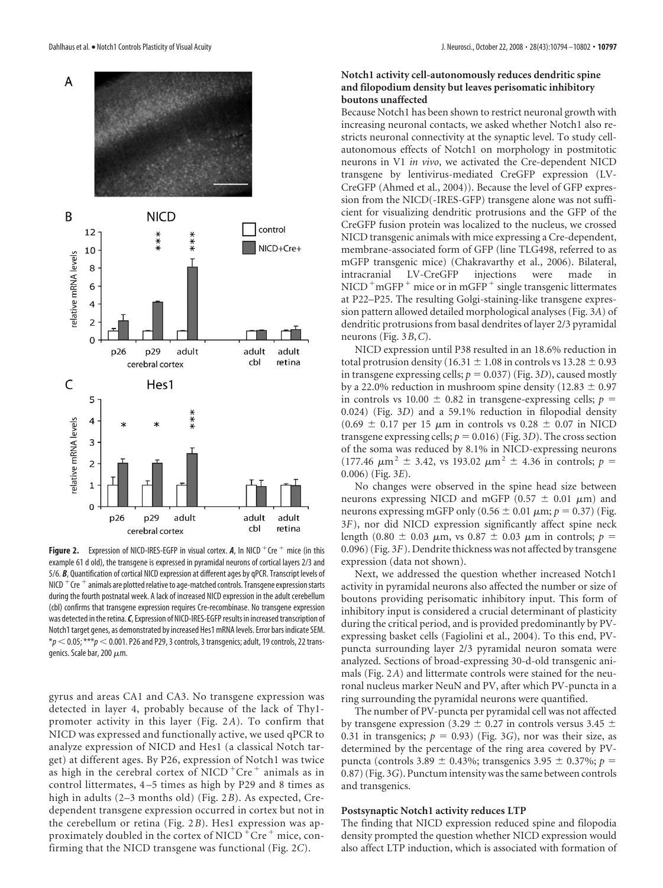

**Figure 2.** Expression of NICD-IRES-EGFP in visual cortex.  $A$ , In NICD  $^+$ Cre  $^+$  mice (in this example 61 d old), the transgene is expressed in pyramidal neurons of cortical layers 2/3 and 5/6. *B*, Quantification of cortical NICD expression at different ages by qPCR. Transcript levels of NICD  $+$  Cre  $+$  animals are plotted relative to age-matched controls. Transgene expression starts during the fourth postnatal week. A lack of increased NICD expression in the adult cerebellum (cbl) confirms that transgene expression requires Cre-recombinase. No transgene expression was detected in the retina.*C*, Expression of NICD-IRES-EGFP results in increased transcription of Notch1 target genes, as demonstrated by increased Hes1 mRNA levels. Error bars indicate SEM. \**p* 0.05; \*\*\**p* 0.001. P26 and P29, 3 controls, 3 transgenics; adult, 19 controls, 22 transgenics. Scale bar, 200  $\mu$ m.

gyrus and areas CA1 and CA3. No transgene expression was detected in layer 4, probably because of the lack of Thy1 promoter activity in this layer (Fig. 2*A*). To confirm that NICD was expressed and functionally active, we used qPCR to analyze expression of NICD and Hes1 (a classical Notch target) at different ages. By P26, expression of Notch1 was twice as high in the cerebral cortex of NICD  $+$ Cre $+$  animals as in control littermates, 4 –5 times as high by P29 and 8 times as high in adults (2–3 months old) (Fig. 2*B*). As expected, Credependent transgene expression occurred in cortex but not in the cerebellum or retina (Fig. 2*B*). Hes1 expression was approximately doubled in the cortex of NICD  $+$ Cre $+$ mice, confirming that the NICD transgene was functional (Fig. 2*C*).

## **Notch1 activity cell-autonomously reduces dendritic spine and filopodium density but leaves perisomatic inhibitory boutons unaffected**

Because Notch1 has been shown to restrict neuronal growth with increasing neuronal contacts, we asked whether Notch1 also restricts neuronal connectivity at the synaptic level. To study cellautonomous effects of Notch1 on morphology in postmitotic neurons in V1 *in vivo*, we activated the Cre-dependent NICD transgene by lentivirus-mediated CreGFP expression (LV-CreGFP (Ahmed et al., 2004)). Because the level of GFP expression from the NICD(-IRES-GFP) transgene alone was not sufficient for visualizing dendritic protrusions and the GFP of the CreGFP fusion protein was localized to the nucleus, we crossed NICD transgenic animals with mice expressing a Cre-dependent, membrane-associated form of GFP (line TLG498, referred to as mGFP transgenic mice) (Chakravarthy et al., 2006). Bilateral, intracranial LV-CreGFP injections were made  $NICD^+mGFP^+$  mice or in mGFP<sup> $+$ </sup> single transgenic littermates at P22–P25. The resulting Golgi-staining-like transgene expression pattern allowed detailed morphological analyses (Fig. 3*A*) of dendritic protrusions from basal dendrites of layer 2/3 pyramidal neurons (Fig. 3*B*,*C*).

NICD expression until P38 resulted in an 18.6% reduction in total protrusion density (16.31  $\pm$  1.08 in controls vs 13.28  $\pm$  0.93 in transgene expressing cells;  $p = 0.037$  (Fig. 3*D*), caused mostly by a 22.0% reduction in mushroom spine density (12.83  $\pm$  0.97 in controls vs 10.00  $\pm$  0.82 in transgene-expressing cells;  $p =$ 0.024) (Fig. 3*D*) and a 59.1% reduction in filopodial density  $(0.69 \pm 0.17 \text{ per } 15 \mu \text{m} \text{ in controls vs } 0.28 \pm 0.07 \text{ in NICD})$ transgene expressing cells;  $p = 0.016$ ) (Fig. 3*D*). The cross section of the soma was reduced by 8.1% in NICD-expressing neurons (177.46  $\mu$ m<sup>2</sup> ± 3.42, vs 193.02  $\mu$ m<sup>2</sup> ± 4.36 in controls; *p* = 0.006) (Fig. 3*E*).

No changes were observed in the spine head size between neurons expressing NICD and mGFP (0.57  $\pm$  0.01  $\mu$ m) and neurons expressing mGFP only  $(0.56 \pm 0.01 \,\mu\text{m}; p = 0.37)$  (Fig. 3*F*), nor did NICD expression significantly affect spine neck length (0.80  $\pm$  0.03  $\mu$ m, vs 0.87  $\pm$  0.03  $\mu$ m in controls; *p* = 0.096) (Fig. 3*F*). Dendrite thickness was not affected by transgene expression (data not shown).

Next, we addressed the question whether increased Notch1 activity in pyramidal neurons also affected the number or size of boutons providing perisomatic inhibitory input. This form of inhibitory input is considered a crucial determinant of plasticity during the critical period, and is provided predominantly by PVexpressing basket cells (Fagiolini et al., 2004). To this end, PVpuncta surrounding layer 2/3 pyramidal neuron somata were analyzed. Sections of broad-expressing 30-d-old transgenic animals (Fig. 2*A*) and littermate controls were stained for the neuronal nucleus marker NeuN and PV, after which PV-puncta in a ring surrounding the pyramidal neurons were quantified.

The number of PV-puncta per pyramidal cell was not affected by transgene expression (3.29  $\pm$  0.27 in controls versus 3.45  $\pm$ 0.31 in transgenics;  $p = 0.93$ ) (Fig. 3*G*), nor was their size, as determined by the percentage of the ring area covered by PVpuncta (controls 3.89  $\pm$  0.43%; transgenics 3.95  $\pm$  0.37%; *p* = 0.87) (Fig. 3*G*). Punctum intensity was the same between controls and transgenics.

#### **Postsynaptic Notch1 activity reduces LTP**

The finding that NICD expression reduced spine and filopodia density prompted the question whether NICD expression would also affect LTP induction, which is associated with formation of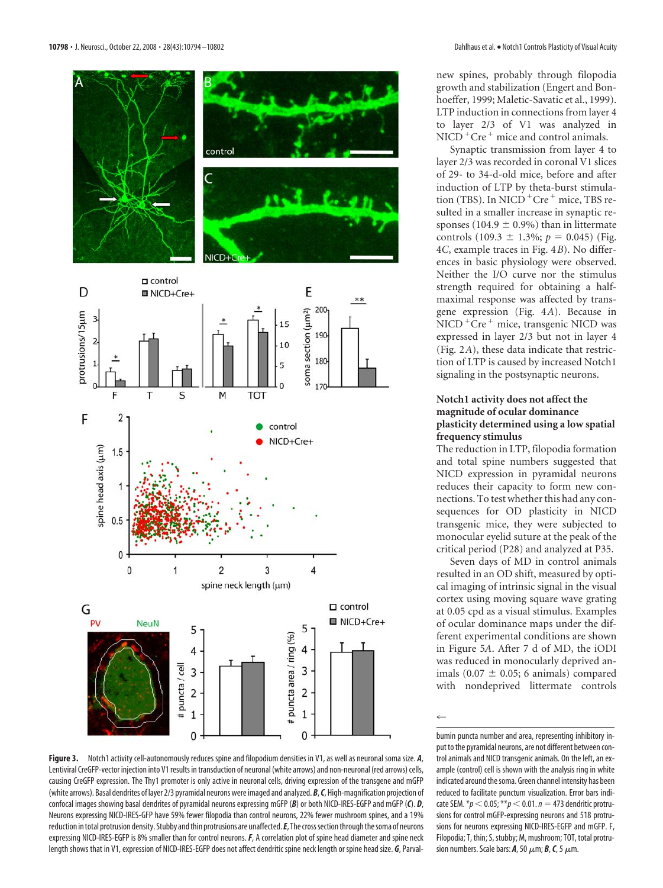

new spines, probably through filopodia growth and stabilization (Engert and Bonhoeffer, 1999; Maletic-Savatic et al., 1999). LTP induction in connections from layer 4 to layer 2/3 of V1 was analyzed in  $NICD<sup>+</sup>Cre<sup>+</sup> mice and control animals.$ 

Synaptic transmission from layer 4 to layer 2/3 was recorded in coronal V1 slices of 29- to 34-d-old mice, before and after induction of LTP by theta-burst stimulation (TBS). In NICD  $+$  Cre $+$  mice, TBS resulted in a smaller increase in synaptic responses (104.9  $\pm$  0.9%) than in littermate controls  $(109.3 \pm 1.3\%; p = 0.045)$  (Fig. 4*C*, example traces in Fig. 4*B*). No differences in basic physiology were observed. Neither the I/O curve nor the stimulus strength required for obtaining a halfmaximal response was affected by transgene expression (Fig. 4*A*). Because in NICD<sup>+</sup>Cre<sup>+</sup> mice, transgenic NICD was expressed in layer 2/3 but not in layer 4 (Fig. 2*A*), these data indicate that restriction of LTP is caused by increased Notch1 signaling in the postsynaptic neurons.

## **Notch1 activity does not affect the magnitude of ocular dominance plasticity determined using a low spatial frequency stimulus**

The reduction in LTP, filopodia formation and total spine numbers suggested that NICD expression in pyramidal neurons reduces their capacity to form new connections. To test whether this had any consequences for OD plasticity in NICD transgenic mice, they were subjected to monocular eyelid suture at the peak of the critical period (P28) and analyzed at P35.

Seven days of MD in control animals resulted in an OD shift, measured by optical imaging of intrinsic signal in the visual cortex using moving square wave grating at 0.05 cpd as a visual stimulus. Examples of ocular dominance maps under the different experimental conditions are shown in Figure 5*A*. After 7 d of MD, the iODI was reduced in monocularly deprived animals  $(0.07 \pm 0.05; 6 \text{ animals})$  compared with nondeprived littermate controls

 $\leftarrow$ 

**Figure 3.** Notch1 activity cell-autonomously reduces spine and filopodium densities in V1, as well as neuronal soma size. *A*, Lentiviral CreGFP-vector injection into V1 results in transduction of neuronal (white arrows) and non-neuronal (red arrows) cells, causing CreGFP expression. The Thy1 promoter is only active in neuronal cells, driving expression of the transgene and mGFP (white arrows). Basal dendrites of layer 2/3 pyramidal neurons were imaged and analyzed. *B*,*C*, High-magnification projection of confocal images showing basal dendrites of pyramidal neurons expressing mGFP (*B*) or both NICD-IRES-EGFP and mGFP (*C*). *D*, Neurons expressing NICD-IRES-GFP have 59% fewer filopodia than control neurons, 22% fewer mushroom spines, and a 19% reduction in total protrusion density. Stubby and thin protrusions are unaffected. E, The cross section through the soma of neurons expressing NICD-IRES-EGFP is 8% smaller than for control neurons.*F*, A correlation plot of spine head diameter and spine neck length shows that in V1, expression of NICD-IRES-EGFP does not affect dendritic spine neck length or spine head size. *G*, Parval-

bumin puncta number and area, representing inhibitory input to the pyramidal neurons, are not different between control animals and NICD transgenic animals. On the left, an example (control) cell is shown with the analysis ring in white indicated around the soma. Green channel intensity has been reduced to facilitate punctum visualization. Error bars indicate SEM.  $* p < 0.05$ ;  $** p < 0.01$ .  $n = 473$  dendritic protrusions for control mGFP-expressing neurons and 518 protrusions for neurons expressing NICD-IRES-EGFP and mGFP. F, Filopodia; T, thin; S, stubby; M, mushroom; TOT, total protrusion numbers. Scale bars:  $A$ , 50  $\mu$ m;  $B$ ,  $C$ , 5  $\mu$ m.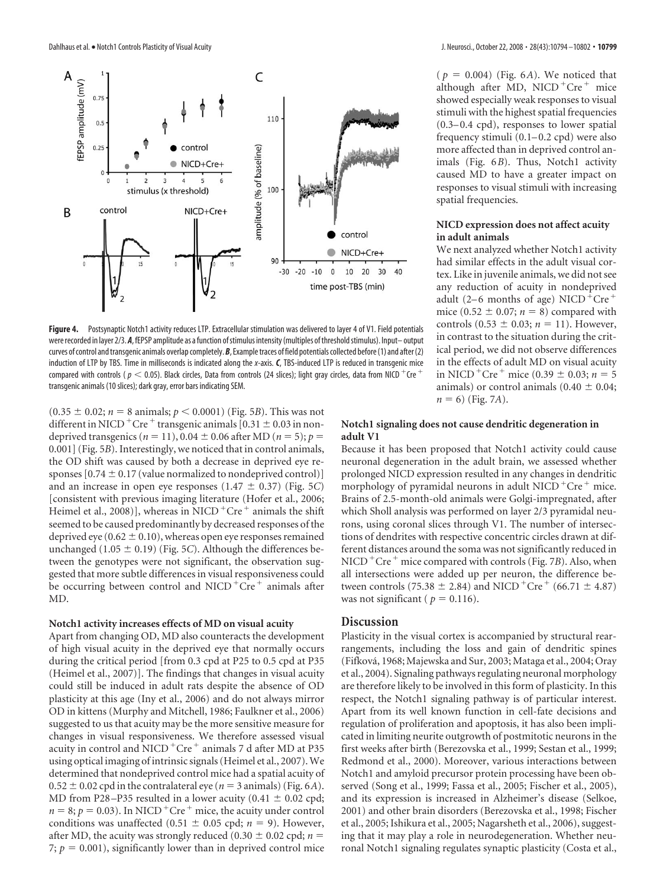

**Figure 4.** Postsynaptic Notch1 activity reduces LTP. Extracellular stimulation was delivered to layer 4 of V1. Field potentials were recorded in layer 2/3. A, fEPSP amplitude as a function of stimulus intensity (multiples of threshold stimulus). Input-output curves of control and transgenic animals overlap completely. *B*, Example traces of field potentials collected before (1) and after (2) induction of LTP by TBS. Time in milliseconds is indicated along the *x*-axis. *C*, TBS-induced LTP is reduced in transgenic mice compared with controls ( $p < 0.05$ ). Black circles, Data from controls (24 slices); light gray circles, data from NICD <sup>+</sup>Cre <sup>+</sup> transgenic animals (10 slices); dark gray, error bars indicating SEM.

 $(0.35 \pm 0.02; n = 8 \text{ animals}; p < 0.0001)$  (Fig. 5*B*). This was not different in NICD<sup>+</sup>Cre<sup>+</sup> transgenic animals  $[0.31 \pm 0.03$  in nondeprived transgenics ( $n = 11$ ), 0.04  $\pm$  0.06 after MD ( $n = 5$ );  $p =$ 0.001] (Fig. 5*B*). Interestingly, we noticed that in control animals, the OD shift was caused by both a decrease in deprived eye responses [0.74  $\pm$  0.17 (value normalized to nondeprived control)] and an increase in open eye responses  $(1.47 \pm 0.37)$  (Fig. 5*C*) [consistent with previous imaging literature (Hofer et al., 2006; Heimel et al., 2008)], whereas in NICD<sup>+</sup>Cre<sup>+</sup> animals the shift seemed to be caused predominantly by decreased responses of the deprived eye ( $0.62 \pm 0.10$ ), whereas open eye responses remained unchanged  $(1.05 \pm 0.19)$  (Fig. 5*C*). Although the differences between the genotypes were not significant, the observation suggested that more subtle differences in visual responsiveness could be occurring between control and NICD<sup>+</sup>Cre<sup>+</sup> animals after MD.

#### **Notch1 activity increases effects of MD on visual acuity**

Apart from changing OD, MD also counteracts the development of high visual acuity in the deprived eye that normally occurs during the critical period [from 0.3 cpd at P25 to 0.5 cpd at P35 (Heimel et al., 2007)]. The findings that changes in visual acuity could still be induced in adult rats despite the absence of OD plasticity at this age (Iny et al., 2006) and do not always mirror OD in kittens (Murphy and Mitchell, 1986; Faulkner et al., 2006) suggested to us that acuity may be the more sensitive measure for changes in visual responsiveness. We therefore assessed visual acuity in control and NICD<sup>+</sup>Cre<sup>+</sup> animals 7 d after MD at P35 using optical imaging of intrinsic signals (Heimel et al., 2007).We determined that nondeprived control mice had a spatial acuity of  $0.52 \pm 0.02$  cpd in the contralateral eye ( $n = 3$  animals) (Fig. 6*A*). MD from P28-P35 resulted in a lower acuity  $(0.41 \pm 0.02 \text{ cpd})$ ;  $n = 8$ ;  $p = 0.03$ ). In NICD<sup>+</sup>Cre<sup>+</sup> mice, the acuity under control conditions was unaffected (0.51  $\pm$  0.05 cpd; *n* = 9). However, after MD, the acuity was strongly reduced (0.30  $\pm$  0.02 cpd; *n* = 7;  $p = 0.001$ ), significantly lower than in deprived control mice

( $p = 0.004$ ) (Fig. 6*A*). We noticed that although after MD, NICD $+$ Cre $+$  mice showed especially weak responses to visual stimuli with the highest spatial frequencies (0.3–0.4 cpd), responses to lower spatial frequency stimuli (0.1–0.2 cpd) were also more affected than in deprived control animals (Fig. 6*B*). Thus, Notch1 activity caused MD to have a greater impact on responses to visual stimuli with increasing spatial frequencies.

## **NICD expression does not affect acuity in adult animals**

We next analyzed whether Notch1 activity had similar effects in the adult visual cortex. Like in juvenile animals, we did not see any reduction of acuity in nondeprived adult (2–6 months of age) NICD  $+$ Cre $+$ mice (0.52  $\pm$  0.07; *n* = 8) compared with controls  $(0.53 \pm 0.03; n = 11)$ . However, in contrast to the situation during the critical period, we did not observe differences in the effects of adult MD on visual acuity in NICD<sup>+</sup>Cre<sup>+</sup> mice (0.39  $\pm$  0.03; *n* = 5 animals) or control animals ( $0.40 \pm 0.04$ ;  $n = 6$ ) (Fig. 7*A*).

### **Notch1 signaling does not cause dendritic degeneration in adult V1**

Because it has been proposed that Notch1 activity could cause neuronal degeneration in the adult brain, we assessed whether prolonged NICD expression resulted in any changes in dendritic morphology of pyramidal neurons in adult NICD  $+$ Cre $+$  mice. Brains of 2.5-month-old animals were Golgi-impregnated, after which Sholl analysis was performed on layer 2/3 pyramidal neurons, using coronal slices through V1. The number of intersections of dendrites with respective concentric circles drawn at different distances around the soma was not significantly reduced in  $NICD<sup>+</sup>Cre<sup>+</sup> mice compared with controls (Fig. 7*B*). Also, when$ all intersections were added up per neuron, the difference between controls (75.38  $\pm$  2.84) and NICD<sup>+</sup>Cre<sup>+</sup> (66.71  $\pm$  4.87) was not significant ( $p = 0.116$ ).

## **Discussion**

Plasticity in the visual cortex is accompanied by structural rearrangements, including the loss and gain of dendritic spines (Fifkova´, 1968; Majewska and Sur, 2003; Mataga et al., 2004; Oray et al., 2004). Signaling pathways regulating neuronal morphology are therefore likely to be involved in this form of plasticity. In this respect, the Notch1 signaling pathway is of particular interest. Apart from its well known function in cell-fate decisions and regulation of proliferation and apoptosis, it has also been implicated in limiting neurite outgrowth of postmitotic neurons in the first weeks after birth (Berezovska et al., 1999; Sestan et al., 1999; Redmond et al., 2000). Moreover, various interactions between Notch1 and amyloid precursor protein processing have been observed (Song et al., 1999; Fassa et al., 2005; Fischer et al., 2005), and its expression is increased in Alzheimer's disease (Selkoe, 2001) and other brain disorders (Berezovska et al., 1998; Fischer et al., 2005; Ishikura et al., 2005; Nagarsheth et al., 2006), suggesting that it may play a role in neurodegeneration. Whether neuronal Notch1 signaling regulates synaptic plasticity (Costa et al.,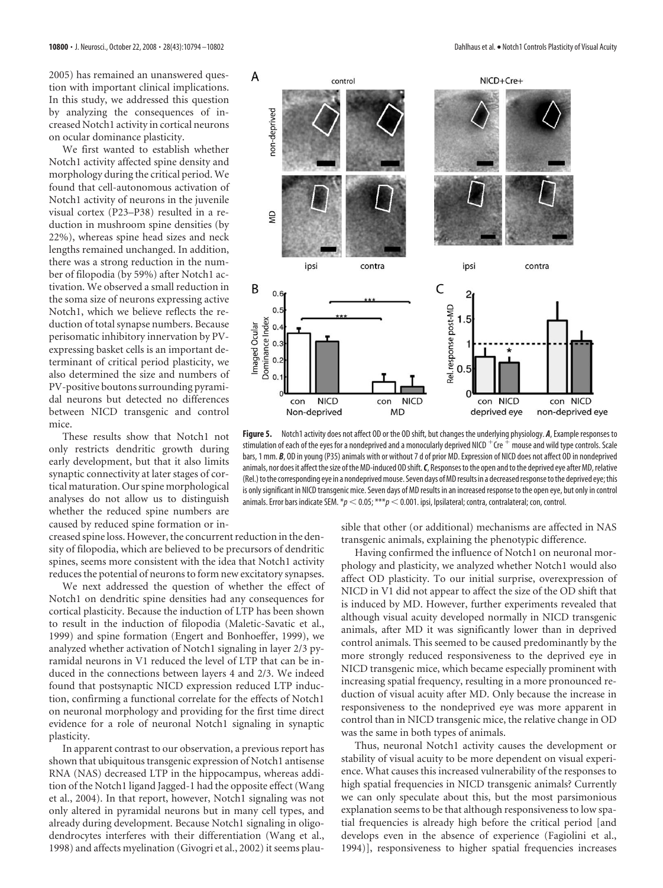2005) has remained an unanswered question with important clinical implications. In this study, we addressed this question by analyzing the consequences of increased Notch1 activity in cortical neurons on ocular dominance plasticity.

We first wanted to establish whether Notch1 activity affected spine density and morphology during the critical period. We found that cell-autonomous activation of Notch1 activity of neurons in the juvenile visual cortex (P23–P38) resulted in a reduction in mushroom spine densities (by 22%), whereas spine head sizes and neck lengths remained unchanged. In addition, there was a strong reduction in the number of filopodia (by 59%) after Notch1 activation. We observed a small reduction in the soma size of neurons expressing active Notch1, which we believe reflects the reduction of total synapse numbers. Because perisomatic inhibitory innervation by PVexpressing basket cells is an important determinant of critical period plasticity, we also determined the size and numbers of PV-positive boutons surrounding pyramidal neurons but detected no differences between NICD transgenic and control mice.

These results show that Notch1 not only restricts dendritic growth during early development, but that it also limits synaptic connectivity at later stages of cortical maturation. Our spine morphological analyses do not allow us to distinguish whether the reduced spine numbers are caused by reduced spine formation or in-

creased spine loss. However, the concurrent reduction in the density of filopodia, which are believed to be precursors of dendritic spines, seems more consistent with the idea that Notch1 activity reduces the potential of neurons to form new excitatory synapses.

We next addressed the question of whether the effect of Notch1 on dendritic spine densities had any consequences for cortical plasticity. Because the induction of LTP has been shown to result in the induction of filopodia (Maletic-Savatic et al., 1999) and spine formation (Engert and Bonhoeffer, 1999), we analyzed whether activation of Notch1 signaling in layer 2/3 pyramidal neurons in V1 reduced the level of LTP that can be induced in the connections between layers 4 and 2/3. We indeed found that postsynaptic NICD expression reduced LTP induction, confirming a functional correlate for the effects of Notch1 on neuronal morphology and providing for the first time direct evidence for a role of neuronal Notch1 signaling in synaptic plasticity.

In apparent contrast to our observation, a previous report has shown that ubiquitous transgenic expression of Notch1 antisense RNA (NAS) decreased LTP in the hippocampus, whereas addition of the Notch1 ligand Jagged-1 had the opposite effect (Wang et al., 2004). In that report, however, Notch1 signaling was not only altered in pyramidal neurons but in many cell types, and already during development. Because Notch1 signaling in oligodendrocytes interferes with their differentiation (Wang et al., 1998) and affects myelination (Givogri et al., 2002) it seems plau-



**Figure 5.** Notch1 activity does not affect OD or the OD shift, but changes the underlying physiology. *A*, Example responses to stimulation of each of the eyes for a nondeprived and a monocularly deprived NICD  $+$  Cre  $+$  mouse and wild type controls. Scale bars, 1 mm. *B*, OD in young (P35) animals with or without 7 d of prior MD. Expression of NICD does not affect OD in nondeprived animals, nor does it affect the size of the MD-induced OD shift. C, Responses to the open and to the deprived eye after MD, relative (Rel.) to the corresponding eye in a nondeprived mouse. Seven days of MD results in a decreased response to the deprived eye; this is only significant in NICD transgenic mice. Seven days of MD results in an increased response to the open eye, but only in control animals. Error bars indicate SEM.  $*p < 0.05; ***p < 0.001$ . ipsi, Ipsilateral; contra, contralateral; con, control.

sible that other (or additional) mechanisms are affected in NAS transgenic animals, explaining the phenotypic difference.

Having confirmed the influence of Notch1 on neuronal morphology and plasticity, we analyzed whether Notch1 would also affect OD plasticity. To our initial surprise, overexpression of NICD in V1 did not appear to affect the size of the OD shift that is induced by MD. However, further experiments revealed that although visual acuity developed normally in NICD transgenic animals, after MD it was significantly lower than in deprived control animals. This seemed to be caused predominantly by the more strongly reduced responsiveness to the deprived eye in NICD transgenic mice, which became especially prominent with increasing spatial frequency, resulting in a more pronounced reduction of visual acuity after MD. Only because the increase in responsiveness to the nondeprived eye was more apparent in control than in NICD transgenic mice, the relative change in OD was the same in both types of animals.

Thus, neuronal Notch1 activity causes the development or stability of visual acuity to be more dependent on visual experience. What causes this increased vulnerability of the responses to high spatial frequencies in NICD transgenic animals? Currently we can only speculate about this, but the most parsimonious explanation seems to be that although responsiveness to low spatial frequencies is already high before the critical period [and develops even in the absence of experience (Fagiolini et al., 1994)], responsiveness to higher spatial frequencies increases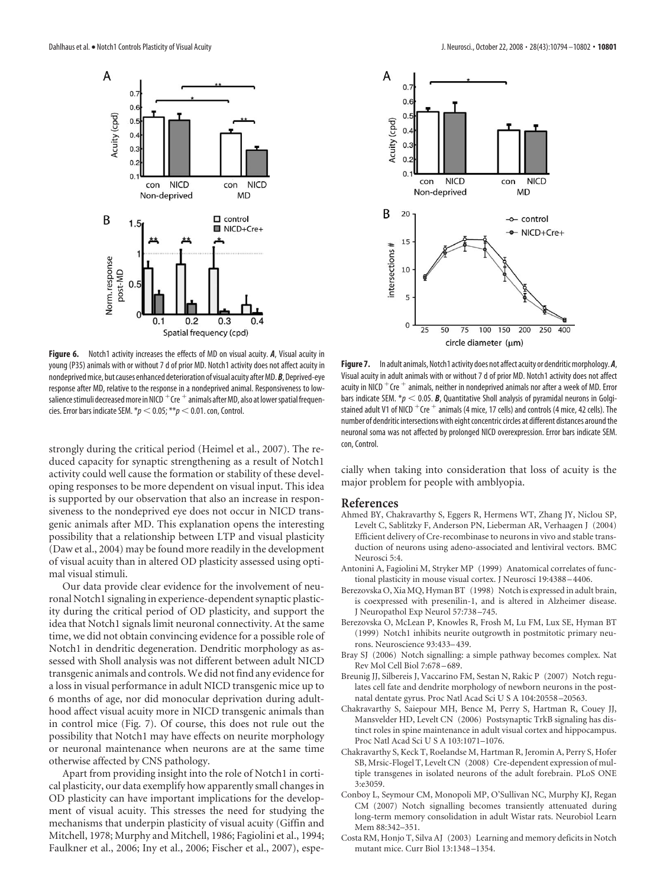

**Figure 6.** Notch1 activity increases the effects of MD on visual acuity. *A*, Visual acuity in young (P35) animals with or without 7 d of prior MD. Notch1 activity does not affect acuity in nondeprived mice, but causes enhanced deterioration of visual acuity after MD. **B**, Deprived-eye response after MD, relative to the response in a nondeprived animal. Responsiveness to lowsalience stimuli decreased more in NICD  $+$  Cre  $+$  animals after MD, also at lower spatial frequencies. Error bars indicate SEM.  $*p < 0.05$ ;  $**p < 0.01$ . con, Control.

strongly during the critical period (Heimel et al., 2007). The reduced capacity for synaptic strengthening as a result of Notch1 activity could well cause the formation or stability of these developing responses to be more dependent on visual input. This idea is supported by our observation that also an increase in responsiveness to the nondeprived eye does not occur in NICD transgenic animals after MD. This explanation opens the interesting possibility that a relationship between LTP and visual plasticity (Daw et al., 2004) may be found more readily in the development of visual acuity than in altered OD plasticity assessed using optimal visual stimuli.

Our data provide clear evidence for the involvement of neuronal Notch1 signaling in experience-dependent synaptic plasticity during the critical period of OD plasticity, and support the idea that Notch1 signals limit neuronal connectivity. At the same time, we did not obtain convincing evidence for a possible role of Notch1 in dendritic degeneration. Dendritic morphology as assessed with Sholl analysis was not different between adult NICD transgenic animals and controls.We did not find any evidence for a loss in visual performance in adult NICD transgenic mice up to 6 months of age, nor did monocular deprivation during adulthood affect visual acuity more in NICD transgenic animals than in control mice (Fig. 7). Of course, this does not rule out the possibility that Notch1 may have effects on neurite morphology or neuronal maintenance when neurons are at the same time otherwise affected by CNS pathology.

Apart from providing insight into the role of Notch1 in cortical plasticity, our data exemplify how apparently small changes in OD plasticity can have important implications for the development of visual acuity. This stresses the need for studying the mechanisms that underpin plasticity of visual acuity (Giffin and Mitchell, 1978; Murphy and Mitchell, 1986; Fagiolini et al., 1994; Faulkner et al., 2006; Iny et al., 2006; Fischer et al., 2007), espe-



Figure 7. In adult animals, Notch1 activity does not affect acuity or dendritic morphology. A, Visual acuity in adult animals with or without 7 d of prior MD. Notch1 activity does not affect acuity in NICD  $+$  Cre  $+$  animals, neither in nondeprived animals nor after a week of MD. Error bars indicate SEM.  $*\!p < 0.05$ . **B**, Quantitative Sholl analysis of pyramidal neurons in Golgistained adult V1 of NICD  $+$  Cre  $+$  animals (4 mice, 17 cells) and controls (4 mice, 42 cells). The number of dendritic intersections with eight concentric circles at different distances around the neuronal soma was not affected by prolonged NICD overexpression. Error bars indicate SEM. con, Control.

cially when taking into consideration that loss of acuity is the major problem for people with amblyopia.

#### **References**

- Ahmed BY, Chakravarthy S, Eggers R, Hermens WT, Zhang JY, Niclou SP, Levelt C, Sablitzky F, Anderson PN, Lieberman AR, Verhaagen J (2004) Efficient delivery of Cre-recombinase to neurons in vivo and stable transduction of neurons using adeno-associated and lentiviral vectors. BMC Neurosci 5:4.
- Antonini A, Fagiolini M, Stryker MP (1999) Anatomical correlates of functional plasticity in mouse visual cortex. J Neurosci 19:4388 –4406.
- Berezovska O, Xia MQ, Hyman BT (1998) Notch is expressed in adult brain, is coexpressed with presenilin-1, and is altered in Alzheimer disease. J Neuropathol Exp Neurol 57:738 –745.
- Berezovska O, McLean P, Knowles R, Frosh M, Lu FM, Lux SE, Hyman BT (1999) Notch1 inhibits neurite outgrowth in postmitotic primary neurons. Neuroscience 93:433–439.
- Bray SJ (2006) Notch signalling: a simple pathway becomes complex. Nat Rev Mol Cell Biol 7:678 –689.
- Breunig JJ, Silbereis J, Vaccarino FM, Sestan N, Rakic P (2007) Notch regulates cell fate and dendrite morphology of newborn neurons in the postnatal dentate gyrus. Proc Natl Acad Sci U S A 104:20558 –20563.
- Chakravarthy S, Saiepour MH, Bence M, Perry S, Hartman R, Couey JJ, Mansvelder HD, Levelt CN (2006) Postsynaptic TrkB signaling has distinct roles in spine maintenance in adult visual cortex and hippocampus. Proc Natl Acad Sci U S A 103:1071–1076.
- Chakravarthy S, Keck T, Roelandse M, Hartman R, Jeromin A, Perry S, Hofer SB, Mrsic-Flogel T, Levelt CN (2008) Cre-dependent expression of multiple transgenes in isolated neurons of the adult forebrain. PLoS ONE 3:e3059.
- Conboy L, Seymour CM, Monopoli MP, O'Sullivan NC, Murphy KJ, Regan CM (2007) Notch signalling becomes transiently attenuated during long-term memory consolidation in adult Wistar rats. Neurobiol Learn Mem 88:342–351.
- Costa RM, Honjo T, Silva AJ (2003) Learning and memory deficits in Notch mutant mice. Curr Biol 13:1348 –1354.